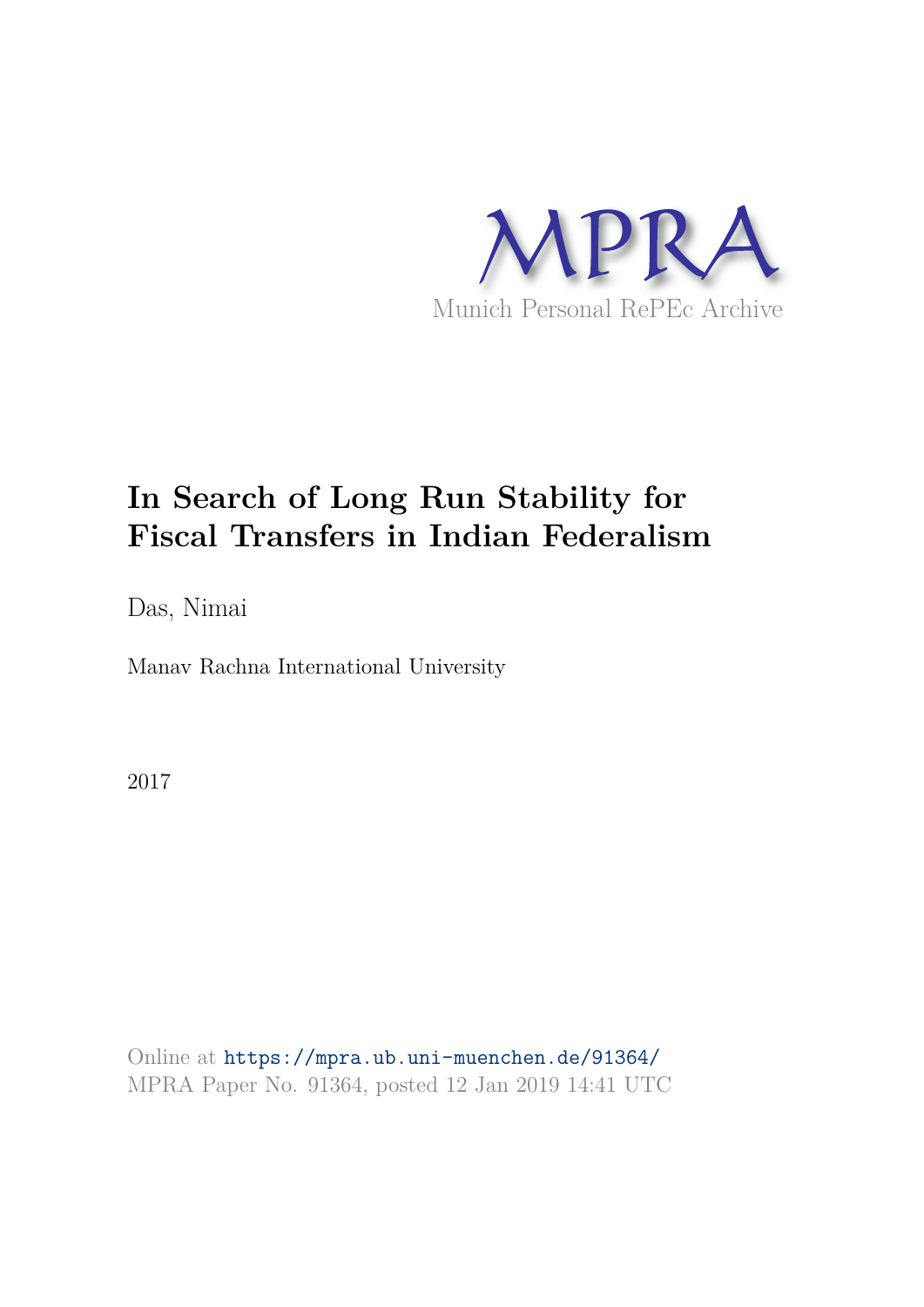

# **In Search of Long Run Stability for Fiscal Transfers in Indian Federalism**

Das, Nimai

Manav Rachna International University

2017

Online at https://mpra.ub.uni-muenchen.de/91364/ MPRA Paper No. 91364, posted 12 Jan 2019 14:41 UTC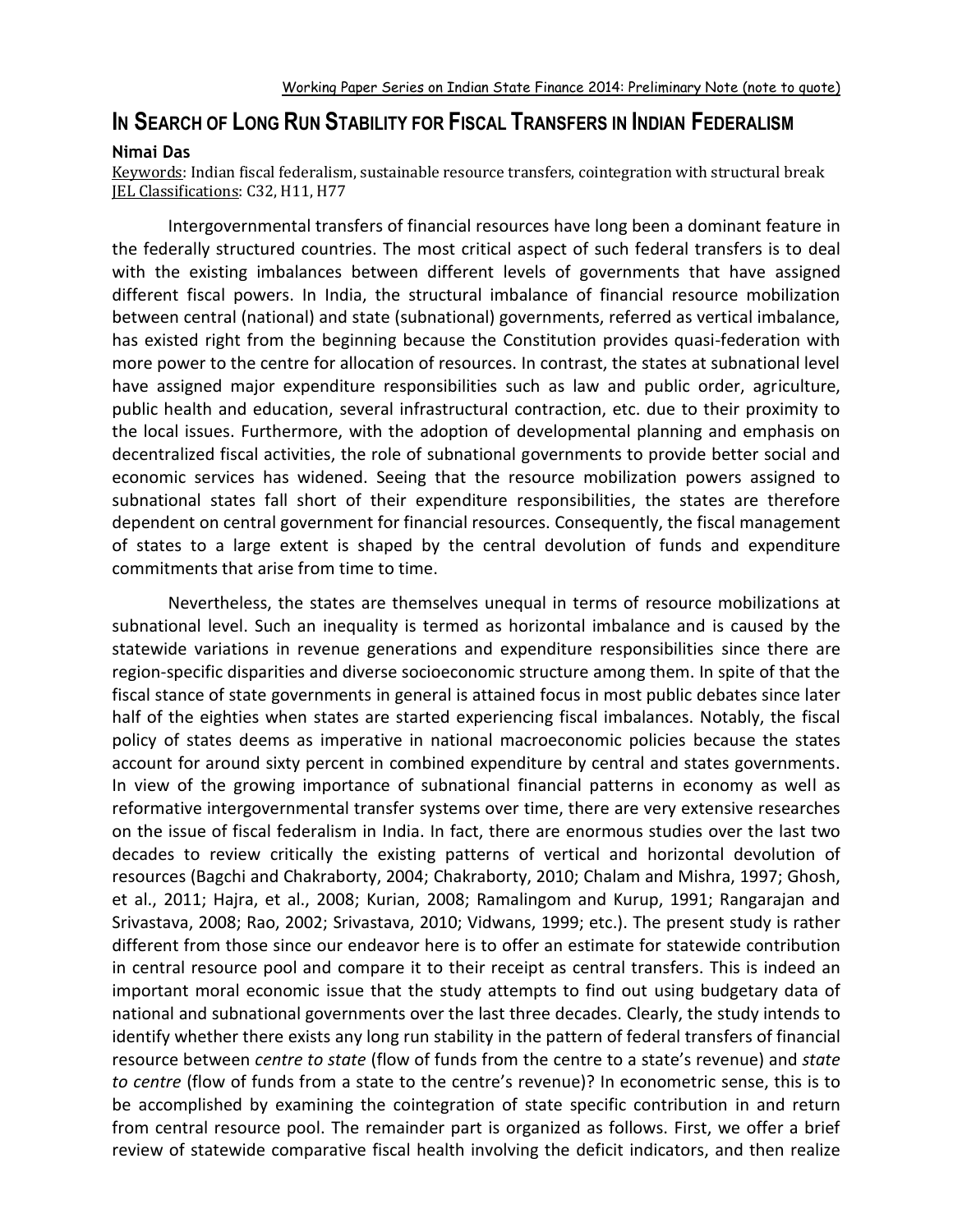# **IN SEARCH OF LONG RUN STABILITY FOR FISCAL TRANSFERS IN INDIAN FEDERALISM**

# **Nimai Das**

Keywords: Indian fiscal federalism, sustainable resource transfers, cointegration with structural break IEL Classifications: C32, H11, H77

Intergovernmental transfers of financial resources have long been a dominant feature in the federally structured countries. The most critical aspect of such federal transfers is to deal with the existing imbalances between different levels of governments that have assigned different fiscal powers. In India, the structural imbalance of financial resource mobilization between central (national) and state (subnational) governments, referred as vertical imbalance, has existed right from the beginning because the Constitution provides quasi-federation with more power to the centre for allocation of resources. In contrast, the states at subnational level have assigned major expenditure responsibilities such as law and public order, agriculture, public health and education, several infrastructural contraction, etc. due to their proximity to the local issues. Furthermore, with the adoption of developmental planning and emphasis on decentralized fiscal activities, the role of subnational governments to provide better social and economic services has widened. Seeing that the resource mobilization powers assigned to subnational states fall short of their expenditure responsibilities, the states are therefore dependent on central government for financial resources. Consequently, the fiscal management of states to a large extent is shaped by the central devolution of funds and expenditure commitments that arise from time to time.

Nevertheless, the states are themselves unequal in terms of resource mobilizations at subnational level. Such an inequality is termed as horizontal imbalance and is caused by the statewide variations in revenue generations and expenditure responsibilities since there are region-specific disparities and diverse socioeconomic structure among them. In spite of that the fiscal stance of state governments in general is attained focus in most public debates since later half of the eighties when states are started experiencing fiscal imbalances. Notably, the fiscal policy of states deems as imperative in national macroeconomic policies because the states account for around sixty percent in combined expenditure by central and states governments. In view of the growing importance of subnational financial patterns in economy as well as reformative intergovernmental transfer systems over time, there are very extensive researches on the issue of fiscal federalism in India. In fact, there are enormous studies over the last two decades to review critically the existing patterns of vertical and horizontal devolution of resources (Bagchi and Chakraborty, 2004; Chakraborty, 2010; Chalam and Mishra, 1997; Ghosh, et al., 2011; Hajra, et al., 2008; Kurian, 2008; Ramalingom and Kurup, 1991; Rangarajan and Srivastava, 2008; Rao, 2002; Srivastava, 2010; Vidwans, 1999; etc.). The present study is rather different from those since our endeavor here is to offer an estimate for statewide contribution in central resource pool and compare it to their receipt as central transfers. This is indeed an important moral economic issue that the study attempts to find out using budgetary data of national and subnational governments over the last three decades. Clearly, the study intends to identify whether there exists any long run stability in the pattern of federal transfers of financial resource between *centre to state* (flow of funds from the centre to a state's revenue) and *state to centre* (flow of funds from a state to the centre's revenue)? In econometric sense, this is to be accomplished by examining the cointegration of state specific contribution in and return from central resource pool. The remainder part is organized as follows. First, we offer a brief review of statewide comparative fiscal health involving the deficit indicators, and then realize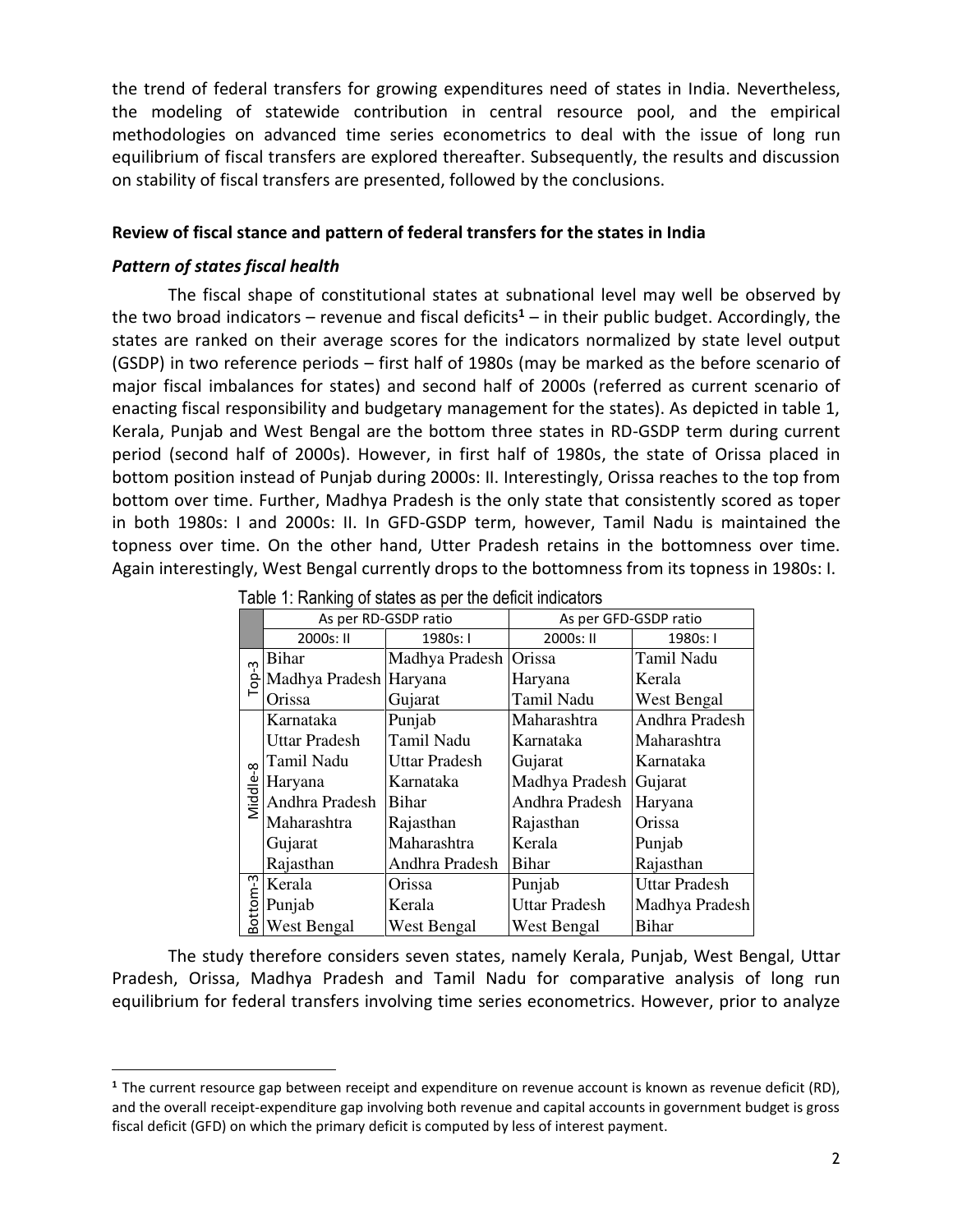the trend of federal transfers for growing expenditures need of states in India. Nevertheless, the modeling of statewide contribution in central resource pool, and the empirical methodologies on advanced time series econometrics to deal with the issue of long run equilibrium of fiscal transfers are explored thereafter. Subsequently, the results and discussion on stability of fiscal transfers are presented, followed by the conclusions.

# **Review of fiscal stance and pattern of federal transfers for the states in India**

# *Pattern of states fiscal health*

 $\overline{a}$ 

The fiscal shape of constitutional states at subnational level may well be observed by the two broad indicators – revenue and fiscal deficits**<sup>1</sup>** – in their public budget. Accordingly, the states are ranked on their average scores for the indicators normalized by state level output (GSDP) in two reference periods – first half of 1980s (may be marked as the before scenario of major fiscal imbalances for states) and second half of 2000s (referred as current scenario of enacting fiscal responsibility and budgetary management for the states). As depicted in table 1, Kerala, Punjab and West Bengal are the bottom three states in RD-GSDP term during current period (second half of 2000s). However, in first half of 1980s, the state of Orissa placed in bottom position instead of Punjab during 2000s: II. Interestingly, Orissa reaches to the top from bottom over time. Further, Madhya Pradesh is the only state that consistently scored as toper in both 1980s: I and 2000s: II. In GFD-GSDP term, however, Tamil Nadu is maintained the topness over time. On the other hand, Utter Pradesh retains in the bottomness over time. Again interestingly, West Bengal currently drops to the bottomness from its topness in 1980s: I.

|                 | <b>The Manufacturer of the Control of the Computer in the Control of The Control of The Control of The Control of The Control of The Control of The Control of The Control of The Control of The Control of The Control of The C</b> |                      |                       |                      |  |  |  |
|-----------------|--------------------------------------------------------------------------------------------------------------------------------------------------------------------------------------------------------------------------------------|----------------------|-----------------------|----------------------|--|--|--|
|                 | As per RD-GSDP ratio                                                                                                                                                                                                                 |                      | As per GFD-GSDP ratio |                      |  |  |  |
|                 | 2000s: II                                                                                                                                                                                                                            | 1980s: I             | 2000s: II             | 1980s: I             |  |  |  |
| $\infty$<br>Top | Bihar                                                                                                                                                                                                                                | Madhya Pradesh       | Orissa                | Tamil Nadu           |  |  |  |
|                 | Madhya Pradesh Haryana                                                                                                                                                                                                               |                      | Haryana               | Kerala               |  |  |  |
|                 | Orissa                                                                                                                                                                                                                               | Gujarat              | Tamil Nadu            | West Bengal          |  |  |  |
| Middle-8        | Karnataka                                                                                                                                                                                                                            | Punjab               | Maharashtra           | Andhra Pradesh       |  |  |  |
|                 | <b>Uttar Pradesh</b>                                                                                                                                                                                                                 | Tamil Nadu           | Karnataka             | Maharashtra          |  |  |  |
|                 | Tamil Nadu                                                                                                                                                                                                                           | <b>Uttar Pradesh</b> | Gujarat               | Karnataka            |  |  |  |
|                 | Haryana                                                                                                                                                                                                                              | Karnataka            | Madhya Pradesh        | Gujarat              |  |  |  |
|                 | Andhra Pradesh                                                                                                                                                                                                                       | <b>Bihar</b>         | Andhra Pradesh        | Haryana              |  |  |  |
|                 | Maharashtra                                                                                                                                                                                                                          | Rajasthan            | Rajasthan             | Orissa               |  |  |  |
|                 | Gujarat                                                                                                                                                                                                                              | Maharashtra          | Kerala                | Punjab               |  |  |  |
|                 | Rajasthan                                                                                                                                                                                                                            | Andhra Pradesh       | <b>Bihar</b>          | Rajasthan            |  |  |  |
| Bottom-3        | Kerala                                                                                                                                                                                                                               | Orissa               | Punjab                | <b>Uttar Pradesh</b> |  |  |  |
|                 | Punjab                                                                                                                                                                                                                               | Kerala               | <b>Uttar Pradesh</b>  | Madhya Pradesh       |  |  |  |
|                 | <b>West Bengal</b>                                                                                                                                                                                                                   | West Bengal          | <b>West Bengal</b>    | <b>Bihar</b>         |  |  |  |

Table 1: Ranking of states as per the deficit indicators

The study therefore considers seven states, namely Kerala, Punjab, West Bengal, Uttar Pradesh, Orissa, Madhya Pradesh and Tamil Nadu for comparative analysis of long run equilibrium for federal transfers involving time series econometrics. However, prior to analyze

**<sup>1</sup>** The current resource gap between receipt and expenditure on revenue account is known as revenue deficit (RD), and the overall receipt-expenditure gap involving both revenue and capital accounts in government budget is gross fiscal deficit (GFD) on which the primary deficit is computed by less of interest payment.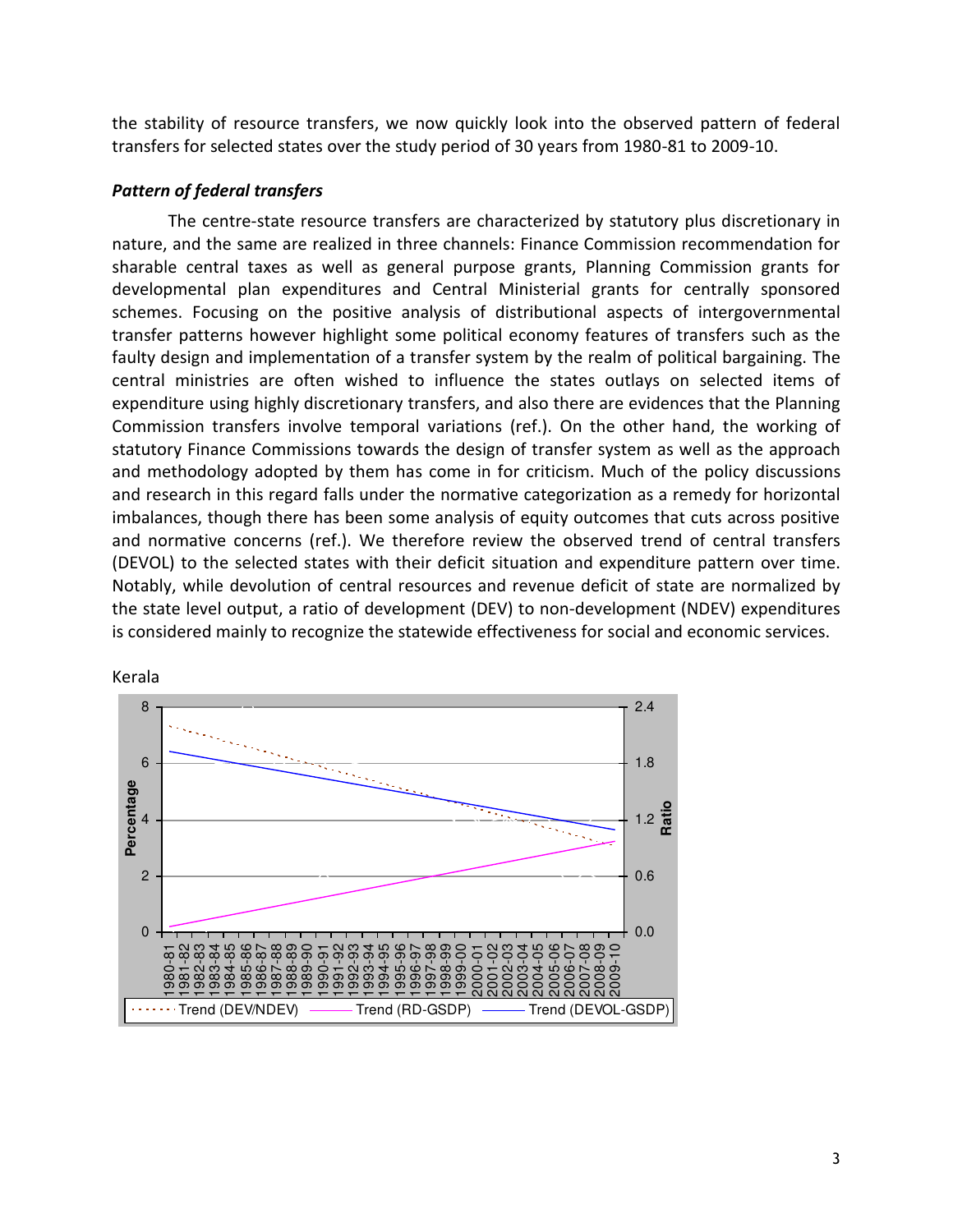the stability of resource transfers, we now quickly look into the observed pattern of federal transfers for selected states over the study period of 30 years from 1980-81 to 2009-10.

# *Pattern of federal transfers*

The centre-state resource transfers are characterized by statutory plus discretionary in nature, and the same are realized in three channels: Finance Commission recommendation for sharable central taxes as well as general purpose grants, Planning Commission grants for developmental plan expenditures and Central Ministerial grants for centrally sponsored schemes. Focusing on the positive analysis of distributional aspects of intergovernmental transfer patterns however highlight some political economy features of transfers such as the faulty design and implementation of a transfer system by the realm of political bargaining. The central ministries are often wished to influence the states outlays on selected items of expenditure using highly discretionary transfers, and also there are evidences that the Planning Commission transfers involve temporal variations (ref.). On the other hand, the working of statutory Finance Commissions towards the design of transfer system as well as the approach and methodology adopted by them has come in for criticism. Much of the policy discussions and research in this regard falls under the normative categorization as a remedy for horizontal imbalances, though there has been some analysis of equity outcomes that cuts across positive and normative concerns (ref.). We therefore review the observed trend of central transfers (DEVOL) to the selected states with their deficit situation and expenditure pattern over time. Notably, while devolution of central resources and revenue deficit of state are normalized by the state level output, a ratio of development (DEV) to non-development (NDEV) expenditures is considered mainly to recognize the statewide effectiveness for social and economic services.



Kerala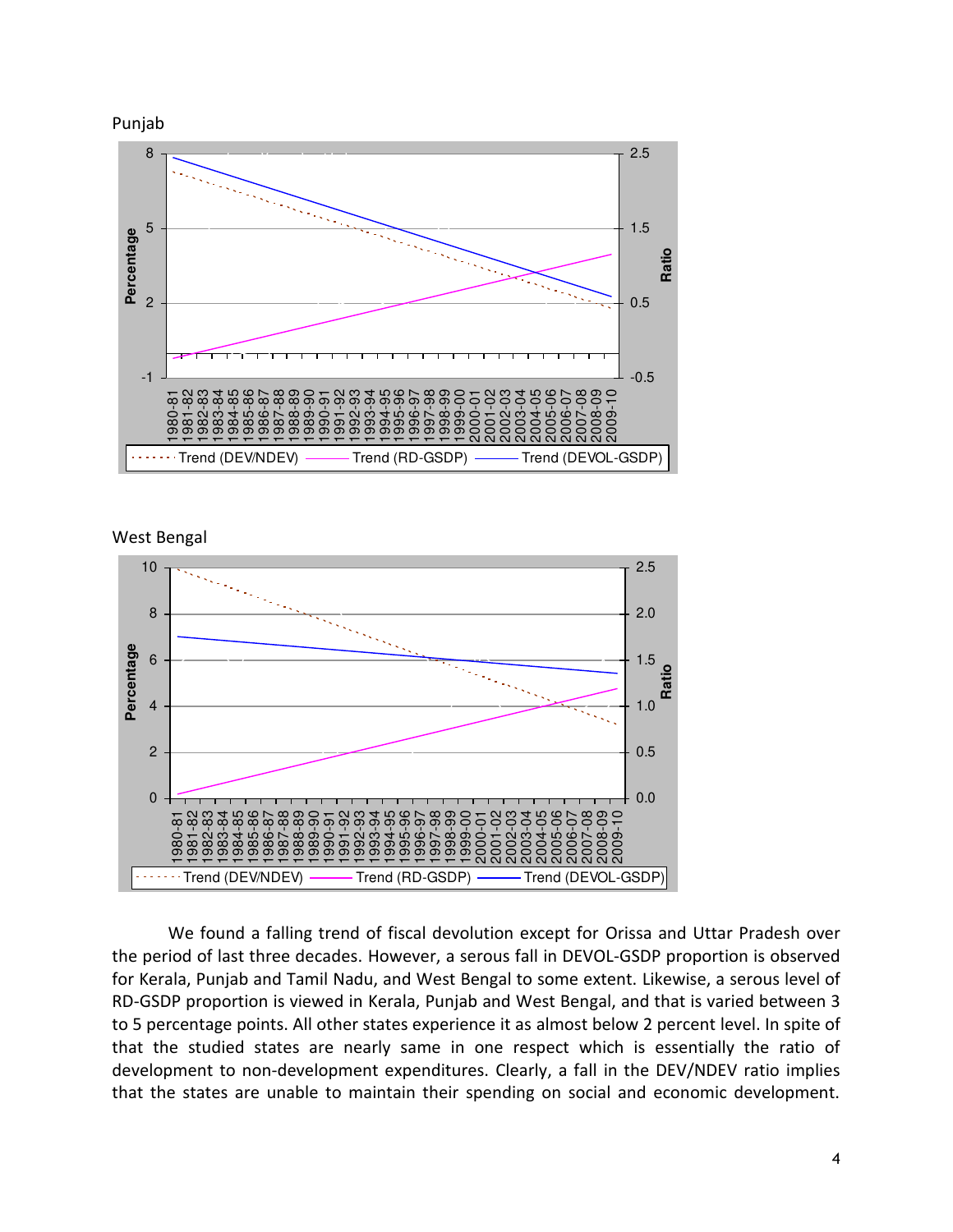



West Bengal



We found a falling trend of fiscal devolution except for Orissa and Uttar Pradesh over the period of last three decades. However, a serous fall in DEVOL-GSDP proportion is observed for Kerala, Punjab and Tamil Nadu, and West Bengal to some extent. Likewise, a serous level of RD-GSDP proportion is viewed in Kerala, Punjab and West Bengal, and that is varied between 3 to 5 percentage points. All other states experience it as almost below 2 percent level. In spite of that the studied states are nearly same in one respect which is essentially the ratio of development to non-development expenditures. Clearly, a fall in the DEV/NDEV ratio implies that the states are unable to maintain their spending on social and economic development.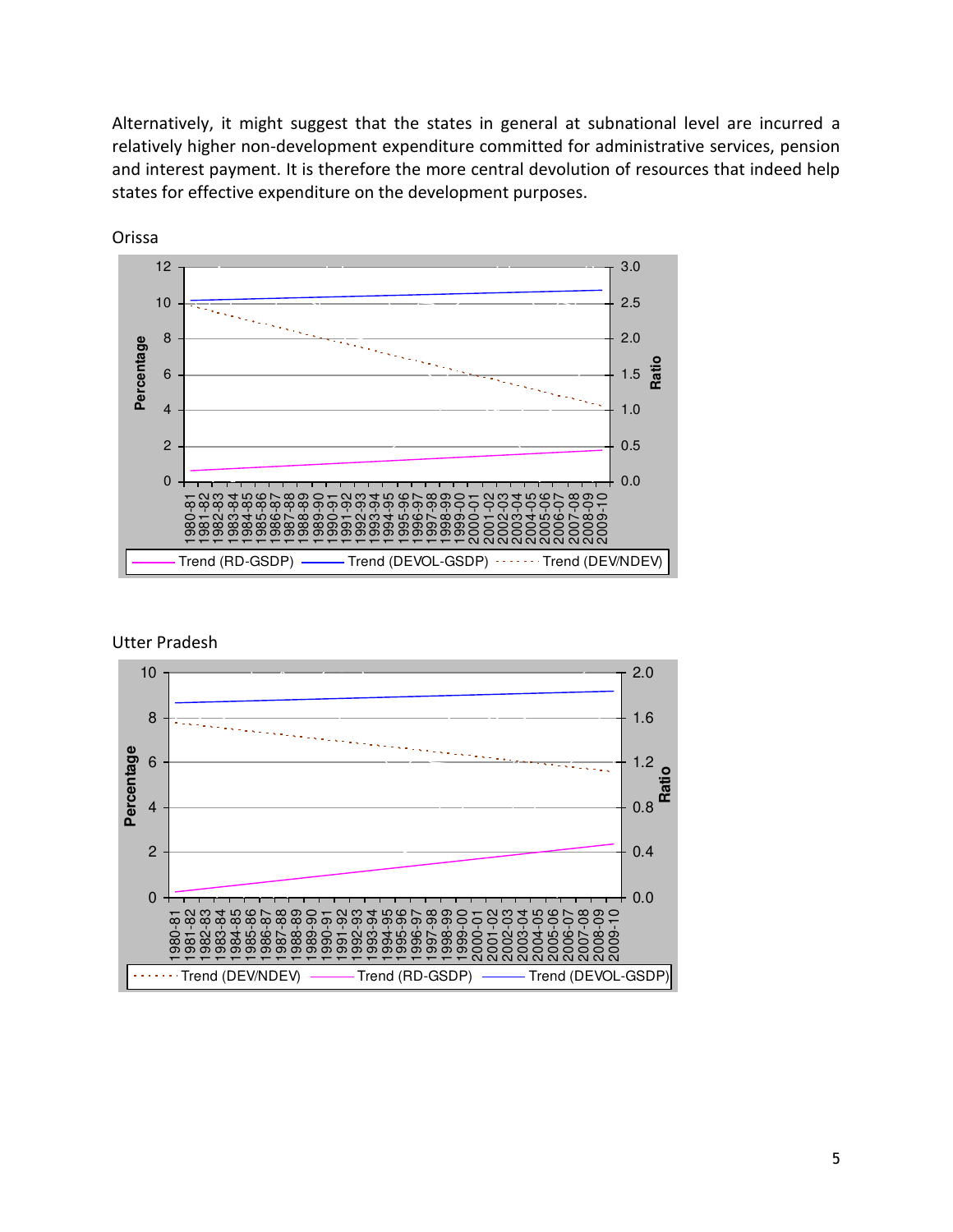Alternatively, it might suggest that the states in general at subnational level are incurred a relatively higher non-development expenditure committed for administrative services, pension and interest payment. It is therefore the more central devolution of resources that indeed help states for effective expenditure on the development purposes.



Orissa

Utter Pradesh

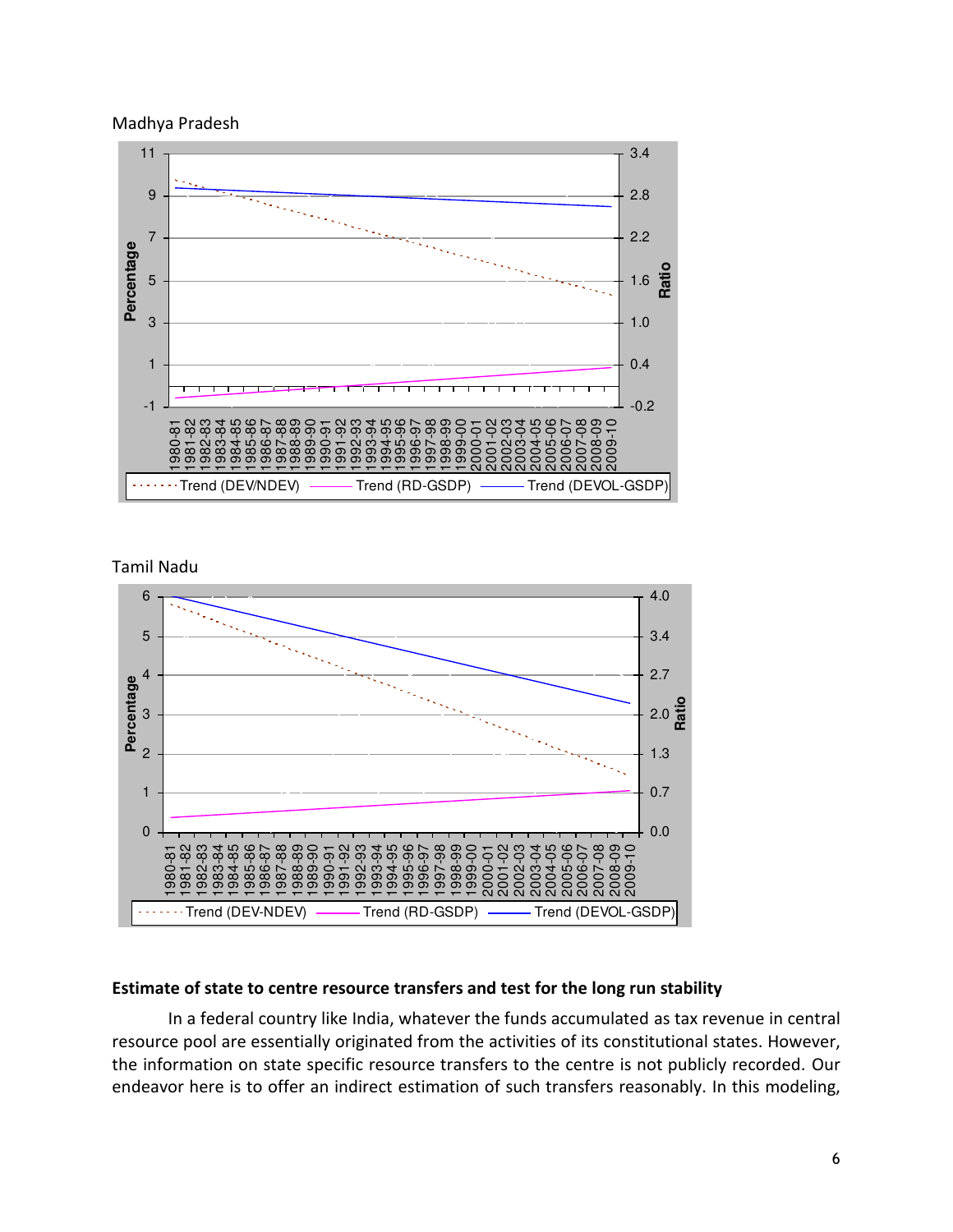Madhya Pradesh



Tamil Nadu



# **Estimate of state to centre resource transfers and test for the long run stability**

In a federal country like India, whatever the funds accumulated as tax revenue in central resource pool are essentially originated from the activities of its constitutional states. However, the information on state specific resource transfers to the centre is not publicly recorded. Our endeavor here is to offer an indirect estimation of such transfers reasonably. In this modeling,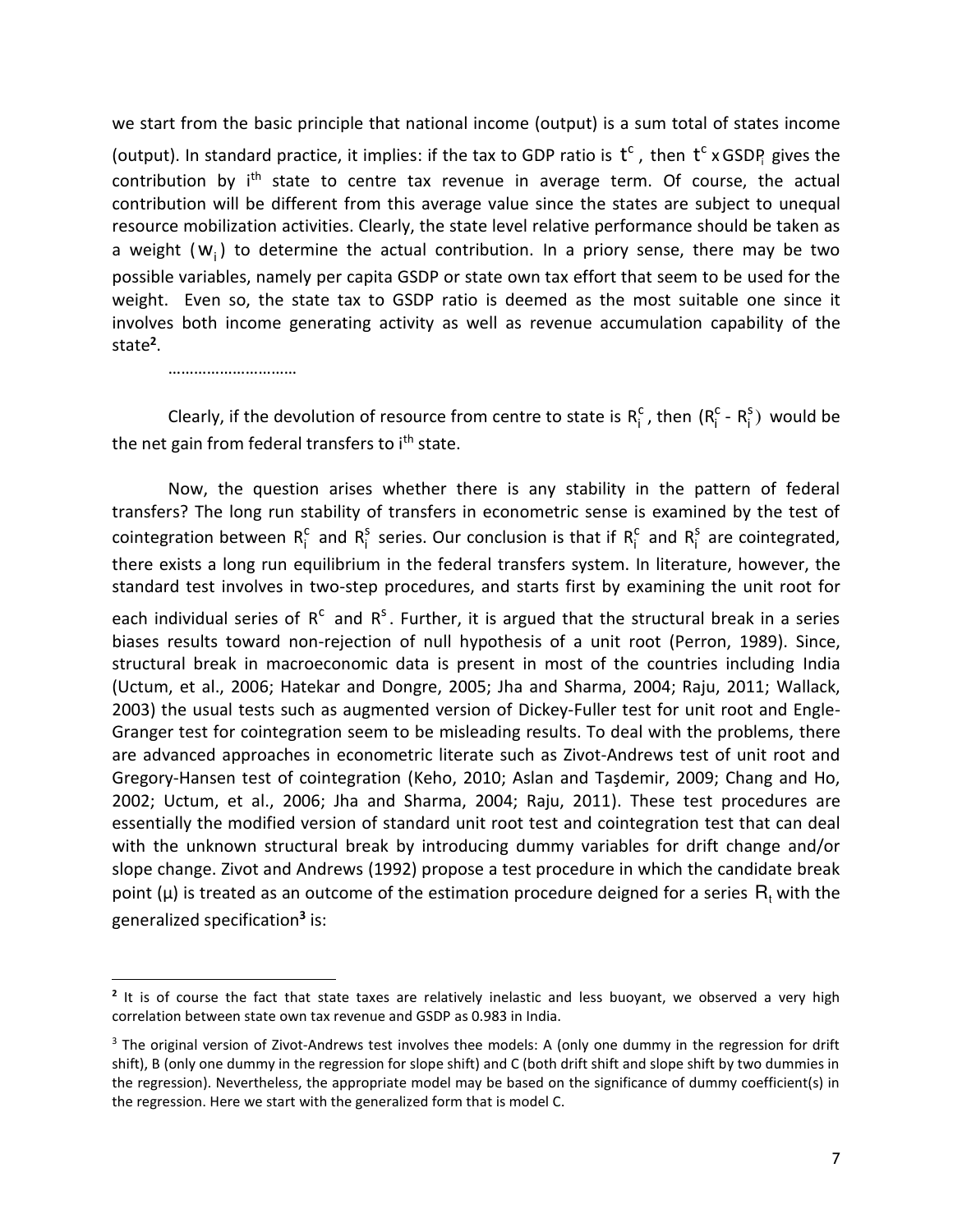we start from the basic principle that national income (output) is a sum total of states income (output). In standard practice, it implies: if the tax to GDP ratio is  $t^c$  , then  $t^c$  x GSDP gives the contribution by i<sup>th</sup> state to centre tax revenue in average term. Of course, the actual contribution will be different from this average value since the states are subject to unequal resource mobilization activities. Clearly, the state level relative performance should be taken as a weight  $(\mathsf{w}_i)$  to determine the actual contribution. In a priory sense, there may be two possible variables, namely per capita GSDP or state own tax effort that seem to be used for the weight. Even so, the state tax to GSDP ratio is deemed as the most suitable one since it involves both income generating activity as well as revenue accumulation capability of the state**<sup>2</sup>** .

……………………………

Clearly, if the devolution of resource from centre to state is  $R_i^c$ , then  $(R_i^c - R_i^s)$ i c  $(R_i^c - R_i^s)$  would be the net gain from federal transfers to i<sup>th</sup> state.

Now, the question arises whether there is any stability in the pattern of federal transfers? The long run stability of transfers in econometric sense is examined by the test of cointegration between  $R_i^c$  and  $R_i^s$  series. Our conclusion is that if  $R_i^c$  and  $R_i^s$  are cointegrated, there exists a long run equilibrium in the federal transfers system. In literature, however, the standard test involves in two-step procedures, and starts first by examining the unit root for

each individual series of  $R^c$  and  $R^s$ . Further, it is argued that the structural break in a series biases results toward non-rejection of null hypothesis of a unit root (Perron, 1989). Since, structural break in macroeconomic data is present in most of the countries including India (Uctum, et al., 2006; Hatekar and Dongre, 2005; Jha and Sharma, 2004; Raju, 2011; Wallack, 2003) the usual tests such as augmented version of Dickey-Fuller test for unit root and Engle-Granger test for cointegration seem to be misleading results. To deal with the problems, there are advanced approaches in econometric literate such as Zivot-Andrews test of unit root and Gregory-Hansen test of cointegration (Keho, 2010; Aslan and Taşdemir, 2009; Chang and Ho, 2002; Uctum, et al., 2006; Jha and Sharma, 2004; Raju, 2011). These test procedures are essentially the modified version of standard unit root test and cointegration test that can deal with the unknown structural break by introducing dummy variables for drift change and/or slope change. Zivot and Andrews (1992) propose a test procedure in which the candidate break point ( $\mu$ ) is treated as an outcome of the estimation procedure deigned for a series  $R_t$ , with the generalized specification**<sup>3</sup>** is:

 $\overline{a}$ <sup>2</sup> It is of course the fact that state taxes are relatively inelastic and less buoyant, we observed a very high correlation between state own tax revenue and GSDP as 0.983 in India.

<sup>&</sup>lt;sup>3</sup> The original version of Zivot-Andrews test involves thee models: A (only one dummy in the regression for drift shift), B (only one dummy in the regression for slope shift) and C (both drift shift and slope shift by two dummies in the regression). Nevertheless, the appropriate model may be based on the significance of dummy coefficient(s) in the regression. Here we start with the generalized form that is model C.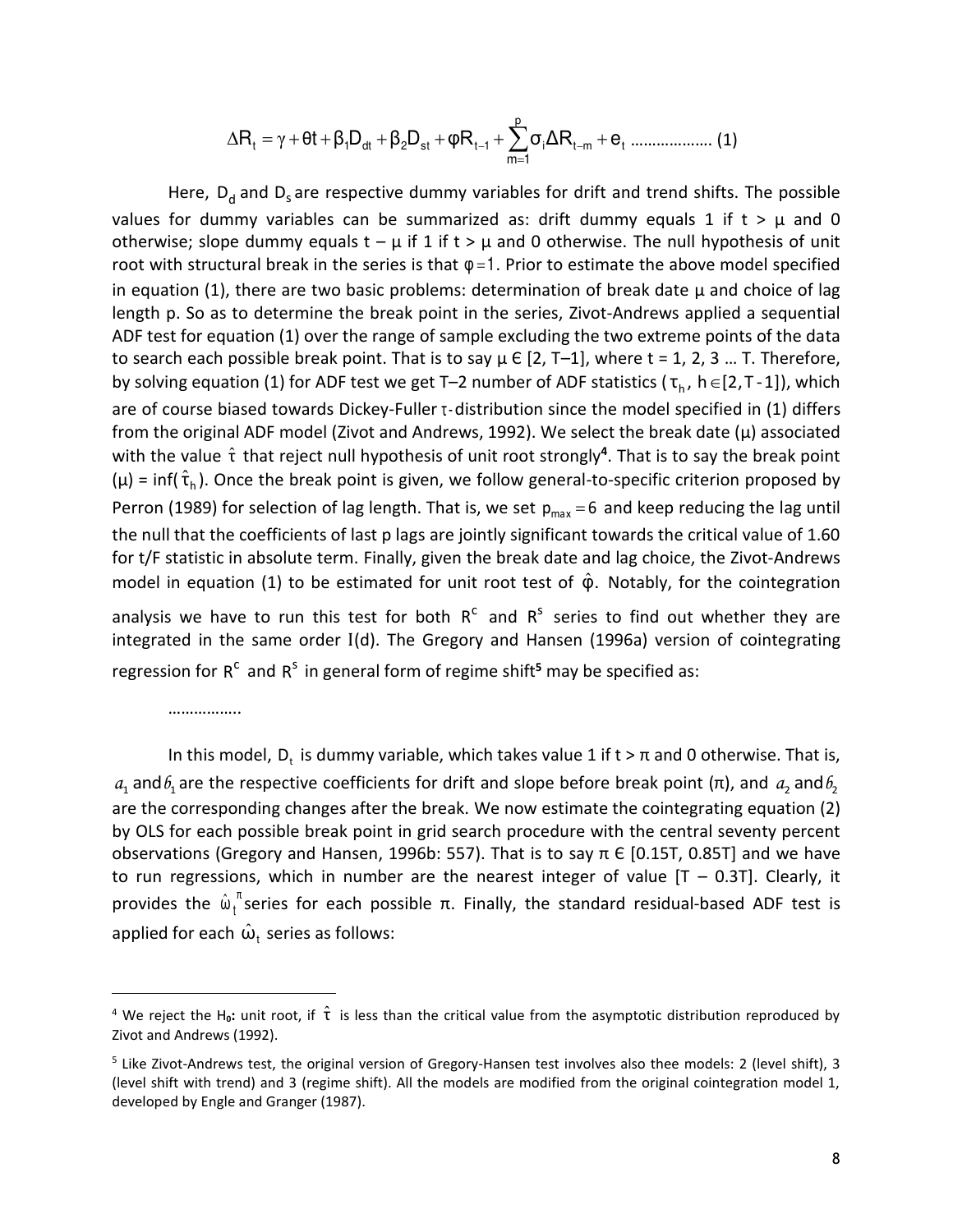$$
\Delta R_{t} = \gamma + \theta t + \beta_{1} D_{dt} + \beta_{2} D_{st} + \phi R_{t-1} + \sum_{m=1}^{p} \sigma_{i} \Delta R_{t-m} + e_{t}
$$
................. (1)

Here, D<sub>d</sub> and D<sub>s</sub> are respective dummy variables for drift and trend shifts. The possible values for dummy variables can be summarized as: drift dummy equals 1 if  $t > \mu$  and 0 otherwise; slope dummy equals  $t - \mu$  if 1 if  $t > \mu$  and 0 otherwise. The null hypothesis of unit root with structural break in the series is that  $\varphi = 1$ . Prior to estimate the above model specified in equation (1), there are two basic problems: determination of break date  $\mu$  and choice of lag length p. So as to determine the break point in the series, Zivot-Andrews applied a sequential ADF test for equation (1) over the range of sample excluding the two extreme points of the data to search each possible break point. That is to say  $\mu \in [2, T-1]$ , where t = 1, 2, 3 ... T. Therefore, by solving equation (1) for ADF test we get T-2 number of ADF statistics ( $\tau_{h}$ ,  $h \in [2, T - 1]$ ), which are of course biased towards Dickey-Fuller τ- distribution since the model specified in (1) differs from the original ADF model (Zivot and Andrews, 1992). We select the break date (μ) associated with the value t that reject null hypothesis of unit root strongly<sup>4</sup>. That is to say the break point ( $\mu$ ) = inf( $\hat{\tau}_h$ ). Once the break point is given, we follow general-to-specific criterion proposed by Perron (1989) for selection of lag length. That is, we set  $p_{max} = 6$  and keep reducing the lag until the null that the coefficients of last p lags are jointly significant towards the critical value of 1.60 for t/F statistic in absolute term. Finally, given the break date and lag choice, the Zivot-Andrews model in equation (1) to be estimated for unit root test of  $\hat{\varphi}$ . Notably, for the cointegration

analysis we have to run this test for both  $R^c$  and  $R^s$  series to find out whether they are integrated in the same order I(d). The Gregory and Hansen (1996a) version of cointegrating regression for R<sup>c</sup> and R<sup>s</sup> in general form of regime shift<sup>5</sup> may be specified as:

………………

 $\overline{a}$ 

In this model, D<sub>t</sub> is dummy variable, which takes value 1 if t > π and 0 otherwise. That is,  $a_1$  and  $b_1$  are the respective coefficients for drift and slope before break point (π), and  $a_2$  and  $b_2$ are the corresponding changes after the break. We now estimate the cointegrating equation (2) by OLS for each possible break point in grid search procedure with the central seventy percent observations (Gregory and Hansen, 1996b: 557). That is to say  $\pi \in [0.157, 0.85T]$  and we have to run regressions, which in number are the nearest integer of value  $[T - 0.3T]$ . Clearly, it provides the  $\hat{\omega}_t^{\pi}$ series for each possible π. Finally, the standard residual-based ADF test is applied for each  $\hat{\omega}_{t}$  series as follows:

<sup>&</sup>lt;sup>4</sup> We reject the H<sub>0</sub>: unit root, if τ $\hat{\tau}$  is less than the critical value from the asymptotic distribution reproduced by Zivot and Andrews (1992).

<sup>&</sup>lt;sup>5</sup> Like Zivot-Andrews test, the original version of Gregory-Hansen test involves also thee models: 2 (level shift), 3 (level shift with trend) and 3 (regime shift). All the models are modified from the original cointegration model 1, developed by Engle and Granger (1987).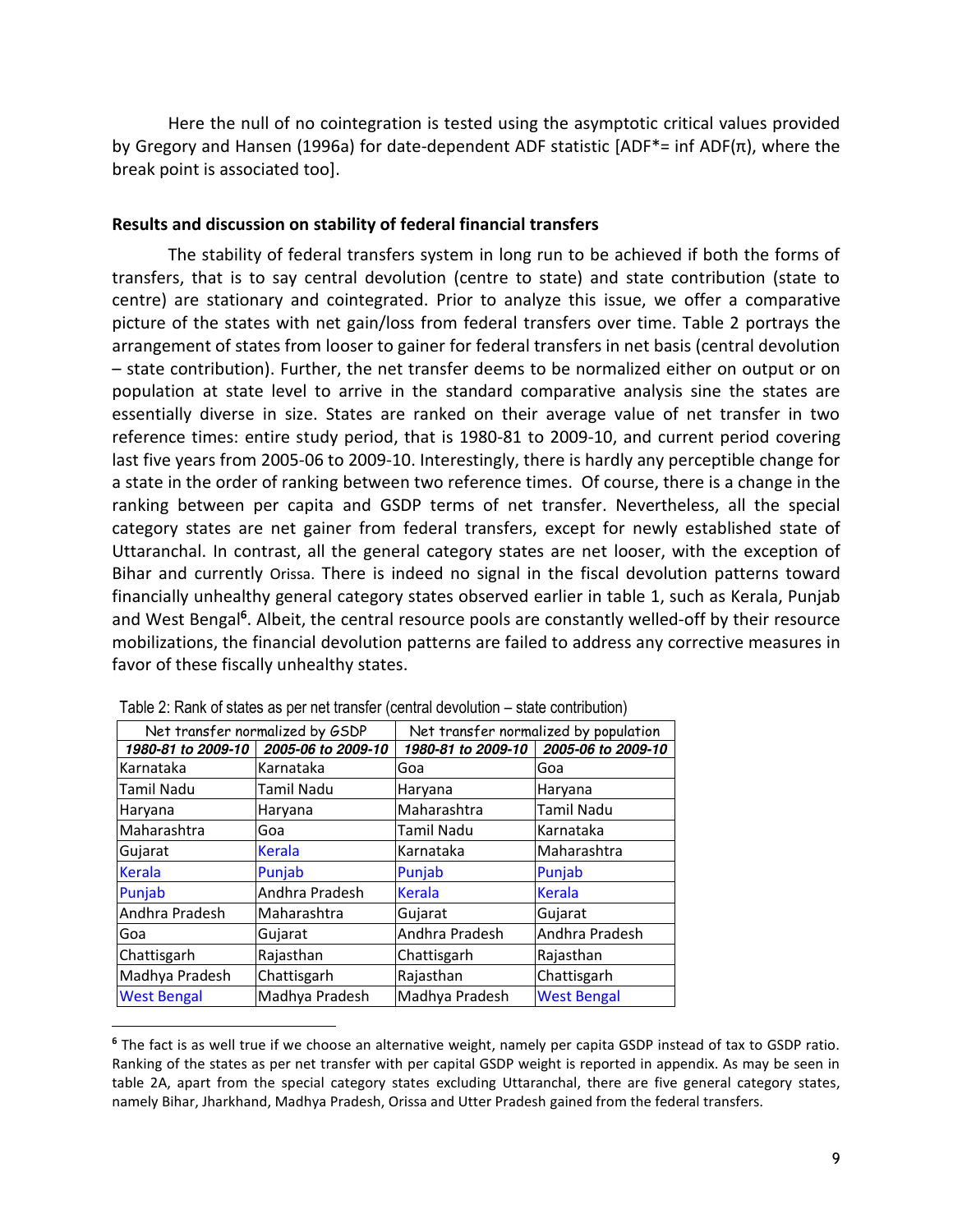Here the null of no cointegration is tested using the asymptotic critical values provided by Gregory and Hansen (1996a) for date-dependent ADF statistic  $[ADF^* = inf ADF/\pi]$ , where the break point is associated too].

#### **Results and discussion on stability of federal financial transfers**

The stability of federal transfers system in long run to be achieved if both the forms of transfers, that is to say central devolution (centre to state) and state contribution (state to centre) are stationary and cointegrated. Prior to analyze this issue, we offer a comparative picture of the states with net gain/loss from federal transfers over time. Table 2 portrays the arrangement of states from looser to gainer for federal transfers in net basis (central devolution – state contribution). Further, the net transfer deems to be normalized either on output or on population at state level to arrive in the standard comparative analysis sine the states are essentially diverse in size. States are ranked on their average value of net transfer in two reference times: entire study period, that is 1980-81 to 2009-10, and current period covering last five years from 2005-06 to 2009-10. Interestingly, there is hardly any perceptible change for a state in the order of ranking between two reference times. Of course, there is a change in the ranking between per capita and GSDP terms of net transfer. Nevertheless, all the special category states are net gainer from federal transfers, except for newly established state of Uttaranchal. In contrast, all the general category states are net looser, with the exception of Bihar and currently Orissa. There is indeed no signal in the fiscal devolution patterns toward financially unhealthy general category states observed earlier in table 1, such as Kerala, Punjab and West Bengal<sup>6</sup>. Albeit, the central resource pools are constantly welled-off by their resource mobilizations, the financial devolution patterns are failed to address any corrective measures in favor of these fiscally unhealthy states.

| Net transfer normalized by GSDP |                    | Net transfer normalized by population |                    |
|---------------------------------|--------------------|---------------------------------------|--------------------|
| 1980-81 to 2009-10              | 2005-06 to 2009-10 | 1980-81 to 2009-10                    | 2005-06 to 2009-10 |
| Karnataka                       | Karnataka          | Goa                                   | Goa                |
| <b>Tamil Nadu</b>               | Tamil Nadu         | Haryana                               | Haryana            |
| Haryana                         | Haryana            | Maharashtra                           | Tamil Nadu         |
| Maharashtra                     | Goa                | Tamil Nadu                            | Karnataka          |
| Gujarat                         | <b>Kerala</b>      | Karnataka                             | Maharashtra        |
| <b>Kerala</b>                   | Punjab             | Punjab                                | Punjab             |
| Punjab                          | Andhra Pradesh     | <b>Kerala</b>                         | <b>Kerala</b>      |
| Andhra Pradesh                  | Maharashtra        | Gujarat                               | Gujarat            |
| Goa                             | Gujarat            | Andhra Pradesh                        | Andhra Pradesh     |
| Chattisgarh                     | Rajasthan          | Chattisgarh                           | Rajasthan          |
| Madhya Pradesh                  | Chattisgarh        | Rajasthan                             | Chattisgarh        |
| <b>West Bengal</b>              | Madhya Pradesh     | Madhya Pradesh                        | <b>West Bengal</b> |

 $\overline{a}$ 

**<sup>6</sup>** The fact is as well true if we choose an alternative weight, namely per capita GSDP instead of tax to GSDP ratio. Ranking of the states as per net transfer with per capital GSDP weight is reported in appendix. As may be seen in table 2A, apart from the special category states excluding Uttaranchal, there are five general category states, namely Bihar, Jharkhand, Madhya Pradesh, Orissa and Utter Pradesh gained from the federal transfers.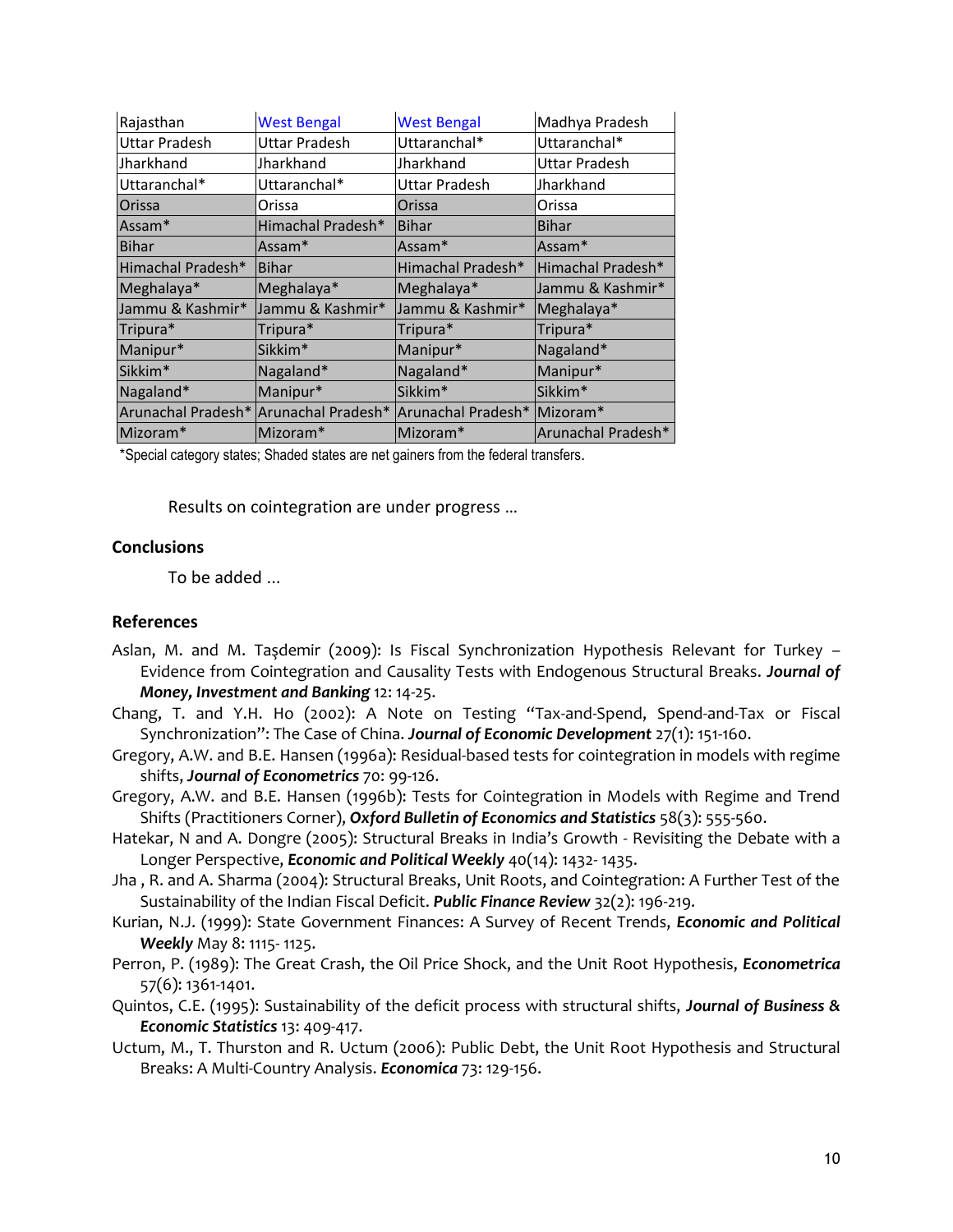| Rajasthan            | <b>West Bengal</b>                    | <b>West Bengal</b>   | Madhya Pradesh       |
|----------------------|---------------------------------------|----------------------|----------------------|
| <b>Uttar Pradesh</b> | <b>Uttar Pradesh</b>                  | Uttaranchal*         | Uttaranchal*         |
| Jharkhand            | Jharkhand                             | Jharkhand            | <b>Uttar Pradesh</b> |
| Uttaranchal*         | Uttaranchal*                          | <b>Uttar Pradesh</b> | Jharkhand            |
| Orissa               | Orissa                                | Orissa               | Orissa               |
| Assam*               | Himachal Pradesh*                     | Bihar                | <b>Bihar</b>         |
| <b>Bihar</b>         | Assam*                                | Assam*               | Assam*               |
| Himachal Pradesh*    | <b>Bihar</b>                          | Himachal Pradesh*    | Himachal Pradesh*    |
| Meghalaya*           | Meghalaya*                            | Meghalaya*           | Jammu & Kashmir*     |
| Jammu & Kashmir*     | Jammu & Kashmir*                      | Jammu & Kashmir*     | Meghalaya*           |
| Tripura*             | Tripura*                              | Tripura*             | Tripura*             |
| Manipur*             | Sikkim*                               | Manipur*             | Nagaland*            |
| Sikkim*              | Nagaland*                             | Nagaland*            | Manipur*             |
| Nagaland*            | Manipur*                              | Sikkim <sup>*</sup>  | Sikkim*              |
|                      | Arunachal Pradesh* Arunachal Pradesh* | Arunachal Pradesh*   | Mizoram*             |
| Mizoram*             | Mizoram*                              | Mizoram*             | Arunachal Pradesh*   |

\*Special category states; Shaded states are net gainers from the federal transfers.

Results on cointegration are under progress …

# **Conclusions**

To be added ...

#### **References**

- Aslan, M. and M. Taşdemir (2009): Is Fiscal Synchronization Hypothesis Relevant for Turkey Evidence from Cointegration and Causality Tests with Endogenous Structural Breaks. *Journal of Money, Investment and Banking* 12: 14-25.
- Chang, T. and Y.H. Ho (2002): A Note on Testing "Tax-and-Spend, Spend-and-Tax or Fiscal Synchronization": The Case of China. *Journal of Economic Development* 27(1): 151-160.
- Gregory, A.W. and B.E. Hansen (1996a): Residual-based tests for cointegration in models with regime shifts, *Journal of Econometrics* 70: 99-126.
- Gregory, A.W. and B.E. Hansen (1996b): Tests for Cointegration in Models with Regime and Trend Shifts (Practitioners Corner), *Oxford Bulletin of Economics and Statistics* 58(3): 555-560.
- Hatekar, N and A. Dongre (2005): Structural Breaks in India's Growth Revisiting the Debate with a Longer Perspective, *Economic and Political Weekly* 40(14): 1432- 1435.
- Jha , R. and A. Sharma (2004): Structural Breaks, Unit Roots, and Cointegration: A Further Test of the Sustainability of the Indian Fiscal Deficit. *Public Finance Review* 32(2): 196-219.
- Kurian, N.J. (1999): State Government Finances: A Survey of Recent Trends, *Economic and Political Weekly* May 8: 1115- 1125.
- Perron, P. (1989): The Great Crash, the Oil Price Shock, and the Unit Root Hypothesis, *Econometrica* 57(6): 1361-1401.
- Quintos, C.E. (1995): Sustainability of the deficit process with structural shifts, *Journal of Business & Economic Statistics* 13: 409-417.
- Uctum, M., T. Thurston and R. Uctum (2006): Public Debt, the Unit Root Hypothesis and Structural Breaks: A Multi-Country Analysis. *Economica* 73: 129-156.